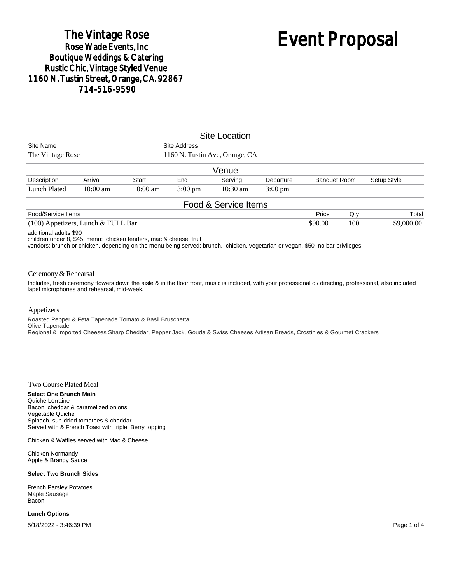## The Vintage Rose<br>Rose Wade Events, Inc **Boutique Weddings & Catering Rustic Chic, Vintage Styled Venue** 1160 N. Tustin Street, Orange, CA. 92867 714-516-9590

# Event Proposal

|                                      |            |                    |                                                | <b>Site Location</b> |                   |                     |     |             |            |
|--------------------------------------|------------|--------------------|------------------------------------------------|----------------------|-------------------|---------------------|-----|-------------|------------|
| Site Name<br>The Vintage Rose        |            |                    | Site Address<br>1160 N. Tustin Ave, Orange, CA |                      |                   |                     |     |             |            |
|                                      |            |                    |                                                |                      |                   |                     |     |             |            |
|                                      |            |                    |                                                | Venue                |                   |                     |     |             |            |
| Description                          | Arrival    | <b>Start</b>       | End                                            | Serving              | Departure         | <b>Banquet Room</b> |     | Setup Style |            |
| Lunch Plated                         | $10:00$ am | $10:00 \text{ am}$ | $3:00 \text{ pm}$                              | $10:30 \text{ am}$   | $3:00 \text{ pm}$ |                     |     |             |            |
|                                      |            |                    |                                                | Food & Service Items |                   |                     |     |             |            |
| Food/Service Items                   |            |                    |                                                |                      |                   | Price               | Qty |             | Total      |
| $(100)$ Appetizers, Lunch & FULL Bar |            |                    |                                                |                      |                   |                     | 100 |             | \$9,000.00 |

additional adults \$90

children under 8, \$45, menu: chicken tenders, mac & cheese, fruit

vendors: brunch or chicken, depending on the menu being served: brunch, chicken, vegetarian or vegan. \$50 no bar privileges

#### Ceremony & Rehearsal

Includes, fresh ceremony flowers down the aisle & in the floor front, music is included, with your professional dj/ directing, professional, also included lapel microphones and rehearsal, mid-week.

#### Appetizers

Roasted Pepper & Feta Tapenade Tomato & Basil Bruschetta Olive Tapenade Regional & Imported Cheeses Sharp Cheddar, Pepper Jack, Gouda & Swiss Cheeses Artisan Breads, Crostinies & Gourmet Crackers

#### Two Course Plated Meal

**Select One Brunch Main** Quiche Lorraine Bacon, cheddar & caramelized onions Vegetable Quiche Spinach, sun-dried tomatoes & cheddar Served with & French Toast with triple Berry topping

Chicken & Waffles served with Mac & Cheese

Chicken Normandy Apple & Brandy Sauce

#### **Select Two Brunch Sides**

French Parsley Potatoes Maple Sausage Bacon

#### **Lunch Options**

5/18/2022 - 3:46:39 PM Page 1 of 4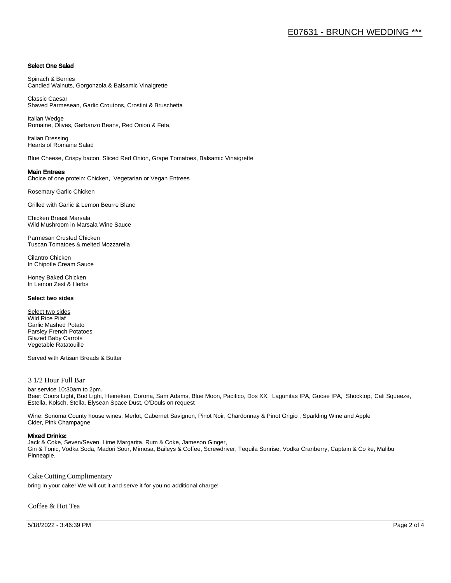#### Select One Salad

Spinach & Berries Candied Walnuts, Gorgonzola & Balsamic Vinaigrette

Classic Caesar Shaved Parmesean, Garlic Croutons, Crostini & Bruschetta

Italian Wedge Romaine, Olives, Garbanzo Beans, Red Onion & Feta,

Italian Dressing Hearts of Romaine Salad

Blue Cheese, Crispy bacon, Sliced Red Onion, Grape Tomatoes, Balsamic Vinaigrette

#### Main Entrees

Choice of one protein: Chicken, Vegetarian or Vegan Entrees

Rosemary Garlic Chicken

Grilled with Garlic & Lemon Beurre Blanc

Chicken Breast Marsala Wild Mushroom in Marsala Wine Sauce

Parmesan Crusted Chicken Tuscan Tomatoes & melted Mozzarella

Cilantro Chicken In Chipotle Cream Sauce

Honey Baked Chicken In Lemon Zest & Herbs

#### **Select two sides**

Select two sides Wild Rice Pilaf Garlic Mashed Potato Parsley French Potatoes Glazed Baby Carrots Vegetable Ratatouille

Served with Artisan Breads & Butter

#### 3 1/2 Hour Full Bar

bar service 10:30am to 2pm. Beer: Coors Light, Bud Light, Heineken, Corona, Sam Adams, Blue Moon, Pacifico, Dos XX, Lagunitas IPA, Goose IPA, Shocktop, Cali Squeeze, Estella, Kolsch, Stella, Elysean Space Dust, O'Douls on request

Wine: Sonoma County house wines, Merlot, Cabernet Savignon, Pinot Noir, Chardonnay & Pinot Grigio , Sparkling Wine and Apple Cider, Pink Champagne

#### Mixed Drinks:

Jack & Coke, Seven/Seven, Lime Margarita, Rum & Coke, Jameson Ginger, Gin & Tonic, Vodka Soda, Madori Sour, Mimosa, Baileys & Coffee, Screwdriver, Tequila Sunrise, Vodka Cranberry, Captain & Co ke, Malibu Pinneaple.

Cake Cutting Complimentary

bring in your cake! We will cut it and serve it for you no additional charge!

Coffee & Hot Tea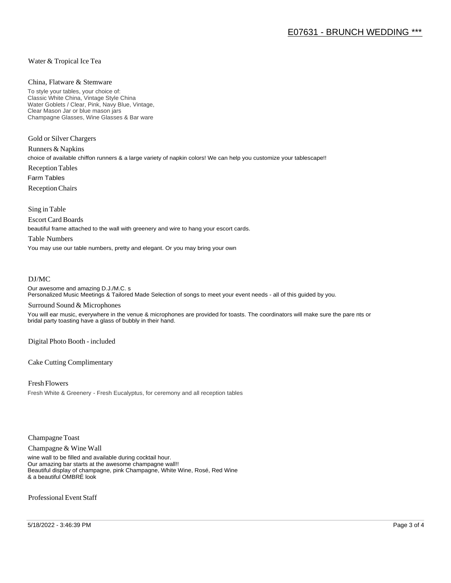#### Water & Tropical Ice Tea

#### China, Flatware & Stemware

To style your tables, your choice of: Classic White China, Vintage Style China Water Goblets / Clear, Pink, Navy Blue, Vintage, Clear Mason Jar or blue mason jars Champagne Glasses, Wine Glasses & Bar ware

Gold or Silver Chargers

Runners & Napkins choice of available chiffon runners & a large variety of napkin colors! We can help you customize your tablescape!! Reception Tables Farm Tables Reception Chairs

Sing in Table

Escort Card Boards

beautiful frame attached to the wall with greenery and wire to hang your escort cards.

#### Table Numbers

You may use our table numbers, pretty and elegant. Or you may bring your own

#### DJ/MC

Our awesome and amazing D.J./M.C. s Personalized Music Meetings & Tailored Made Selection of songs to meet your event needs - all of this guided by you.

#### Surround Sound & Microphones

You will ear music, everywhere in the venue & microphones are provided for toasts. The coordinators will make sure the pare nts or bridal party toasting have a glass of bubbly in their hand.

Digital Photo Booth - included

Cake Cutting Complimentary

Fresh Flowers Fresh White & Greenery - Fresh Eucalyptus, for ceremony and all reception tables

Champagne Toast

Champagne & Wine Wall

wine wall to be filled and available during cocktail hour. Our amazing bar starts at the awesome champagne wall!! Beautiful display of champagne, pink Champagne, White Wine, Rosé, Red Wine & a beautiful OMBRÉ look

Professional Event Staff